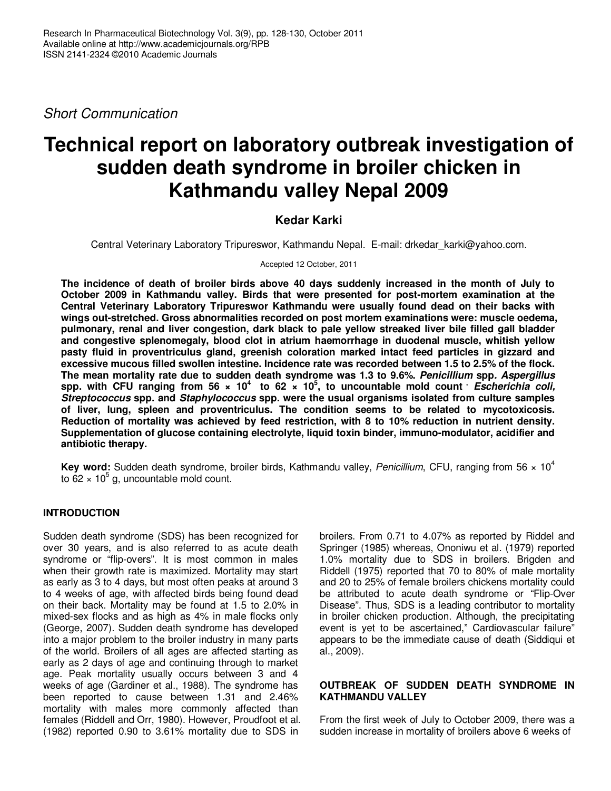Short Communication

# **Technical report on laboratory outbreak investigation of sudden death syndrome in broiler chicken in Kathmandu valley Nepal 2009**

## **Kedar Karki**

Central Veterinary Laboratory Tripureswor, Kathmandu Nepal. E-mail: drkedar\_karki@yahoo.com.

Accepted 12 October, 2011

**The incidence of death of broiler birds above 40 days suddenly increased in the month of July to October 2009 in Kathmandu valley. Birds that were presented for post-mortem examination at the Central Veterinary Laboratory Tripureswor Kathmandu were usually found dead on their backs with wings out-stretched. Gross abnormalities recorded on post mortem examinations were: muscle oedema, pulmonary, renal and liver congestion, dark black to pale yellow streaked liver bile filled gall bladder and congestive splenomegaly, blood clot in atrium haemorrhage in duodenal muscle, whitish yellow pasty fluid in proventriculus gland, greenish coloration marked intact feed particles in gizzard and excessive mucous filled swollen intestine. Incidence rate was recorded between 1.5 to 2.5% of the flock. The mean mortality rate due to sudden death syndrome was 1.3 to 9.6%. Penicillium spp. Aspergillus** spp. with CFU ranging from 56  $\times$  10<sup>4</sup> to 62  $\times$  10<sup>5</sup>, to uncountable mold count *bescherichia coli,* **Streptococcus spp. and Staphylococcus spp. were the usual organisms isolated from culture samples of liver, lung, spleen and proventriculus. The condition seems to be related to mycotoxicosis. Reduction of mortality was achieved by feed restriction, with 8 to 10% reduction in nutrient density. Supplementation of glucose containing electrolyte, liquid toxin binder, immuno-modulator, acidifier and antibiotic therapy.** 

**Key word:** Sudden death syndrome, broiler birds, Kathmandu valley, Penicillium, CFU, ranging from 56 x 10<sup>4</sup> to  $62 \times 10^5$  g, uncountable mold count.

## **INTRODUCTION**

Sudden death syndrome (SDS) has been recognized for over 30 years, and is also referred to as acute death syndrome or "flip-overs". It is most common in males when their growth rate is maximized. Mortality may start as early as 3 to 4 days, but most often peaks at around 3 to 4 weeks of age, with affected birds being found dead on their back. Mortality may be found at 1.5 to 2.0% in mixed-sex flocks and as high as 4% in male flocks only (George, 2007). Sudden death syndrome has developed into a major problem to the broiler industry in many parts of the world. Broilers of all ages are affected starting as early as 2 days of age and continuing through to market age. Peak mortality usually occurs between 3 and 4 weeks of age (Gardiner et al., 1988). The syndrome has been reported to cause between 1.31 and 2.46% mortality with males more commonly affected than females (Riddell and Orr, 1980). However, Proudfoot et al. (1982) reported 0.90 to 3.61% mortality due to SDS in

broilers. From 0.71 to 4.07% as reported by Riddel and Springer (1985) whereas, Ononiwu et al. (1979) reported 1.0% mortality due to SDS in broilers. Brigden and Riddell (1975) reported that 70 to 80% of male mortality and 20 to 25% of female broilers chickens mortality could be attributed to acute death syndrome or "Flip-Over Disease". Thus, SDS is a leading contributor to mortality in broiler chicken production. Although, the precipitating event is yet to be ascertained," Cardiovascular failure" appears to be the immediate cause of death (Siddiqui et al., 2009).

## **OUTBREAK OF SUDDEN DEATH SYNDROME IN KATHMANDU VALLEY**

From the first week of July to October 2009, there was a sudden increase in mortality of broilers above 6 weeks of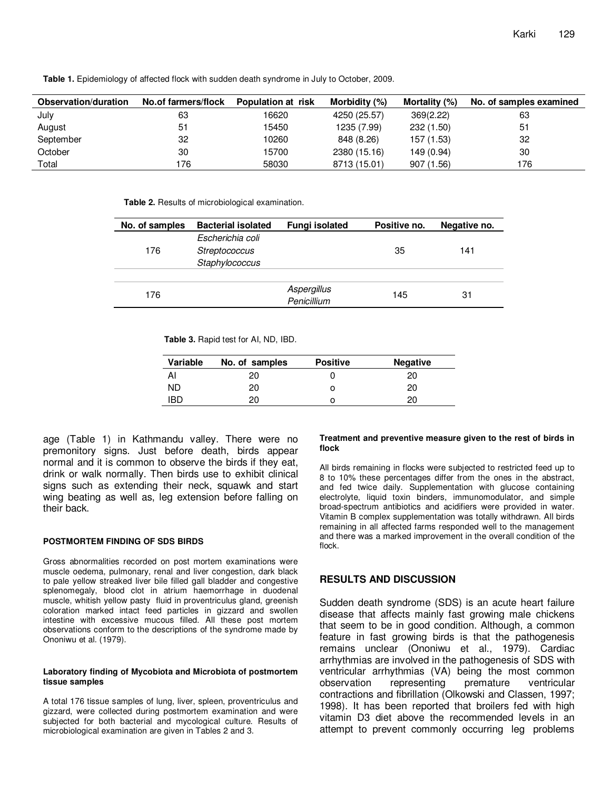**Table 1.** Epidemiology of affected flock with sudden death syndrome in July to October, 2009.

| Observation/duration | No.of farmers/flock | Population at risk | Morbidity (%) | Mortality (%) | No. of samples examined |
|----------------------|---------------------|--------------------|---------------|---------------|-------------------------|
| July                 | 63                  | 16620              | 4250 (25.57)  | 369(2.22)     | 63                      |
| August               | 51                  | 15450              | 1235 (7.99)   | 232 (1.50)    | 51                      |
| September            | 32                  | 10260              | 848 (8.26)    | 157 (1.53)    | 32                      |
| October              | 30                  | 15700              | 2380 (15.16)  | 149 (0.94)    | 30                      |
| Total                | 176                 | 58030              | 8713 (15.01)  | 907 (1.56)    | 176                     |

**Table 2.** Results of microbiological examination.

| No. of samples | <b>Bacterial isolated</b> | <b>Fungi isolated</b>      | Positive no. | Negative no. |
|----------------|---------------------------|----------------------------|--------------|--------------|
|                | Escherichia coli          |                            |              |              |
| 176            | Streptococcus             |                            | 35           | 141          |
|                | Staphylococcus            |                            |              |              |
|                |                           |                            |              |              |
| 176            |                           | Aspergillus<br>Penicillium | 145          | 31           |

**Table 3.** Rapid test for AI, ND, IBD.

| Variable | No. of samples | <b>Positive</b> | <b>Negative</b> |
|----------|----------------|-----------------|-----------------|
| Al       | 20             |                 | 20              |
| ND       | 20             |                 | 20              |
| IBD      | 20             |                 | 20              |

age (Table 1) in Kathmandu valley. There were no premonitory signs. Just before death, birds appear normal and it is common to observe the birds if they eat, drink or walk normally. Then birds use to exhibit clinical signs such as extending their neck, squawk and start wing beating as well as, leg extension before falling on their back.

#### **POSTMORTEM FINDING OF SDS BIRDS**

Gross abnormalities recorded on post mortem examinations were muscle oedema, pulmonary, renal and liver congestion, dark black to pale yellow streaked liver bile filled gall bladder and congestive splenomegaly, blood clot in atrium haemorrhage in duodenal muscle, whitish yellow pasty fluid in proventriculus gland, greenish coloration marked intact feed particles in gizzard and swollen intestine with excessive mucous filled. All these post mortem observations conform to the descriptions of the syndrome made by Ononiwu et al. (1979).

#### **Laboratory finding of Mycobiota and Microbiota of postmortem tissue samples**

A total 176 tissue samples of lung, liver, spleen, proventriculus and gizzard, were collected during postmortem examination and were subjected for both bacterial and mycological culture. Results of microbiological examination are given in Tables 2 and 3.

#### **Treatment and preventive measure given to the rest of birds in flock**

All birds remaining in flocks were subjected to restricted feed up to 8 to 10% these percentages differ from the ones in the abstract, and fed twice daily. Supplementation with glucose containing electrolyte, liquid toxin binders, immunomodulator, and simple broad-spectrum antibiotics and acidifiers were provided in water. Vitamin B complex supplementation was totally withdrawn. All birds remaining in all affected farms responded well to the management and there was a marked improvement in the overall condition of the flock.

### **RESULTS AND DISCUSSION**

Sudden death syndrome (SDS) is an acute heart failure disease that affects mainly fast growing male chickens that seem to be in good condition. Although, a common feature in fast growing birds is that the pathogenesis remains unclear (Ononiwu et al., 1979). Cardiac arrhythmias are involved in the pathogenesis of SDS with ventricular arrhythmias (VA) being the most common observation representing premature ventricular contractions and fibrillation (Olkowski and Classen, 1997; 1998). It has been reported that broilers fed with high vitamin D3 diet above the recommended levels in an attempt to prevent commonly occurring leg problems